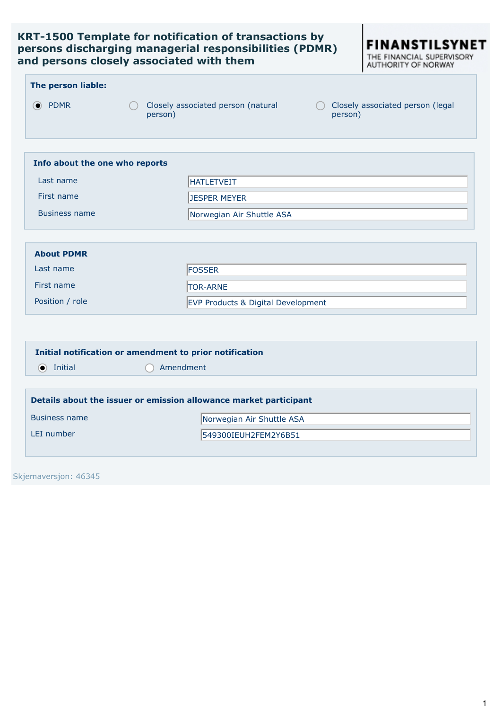## **KRT-1500 Template for notification of transactions by persons discharging managerial responsibilities (PDMR) and persons closely associated with them**



|                                |                                                                   | AUTHURITY OF NURWAT                         |  |  |
|--------------------------------|-------------------------------------------------------------------|---------------------------------------------|--|--|
| The person liable:             |                                                                   |                                             |  |  |
| <b>● PDMR</b>                  | Closely associated person (natural<br>person)                     | Closely associated person (legal<br>person) |  |  |
| Info about the one who reports |                                                                   |                                             |  |  |
| Last name                      | <b>HATLETVEIT</b>                                                 |                                             |  |  |
| First name                     | <b>JESPER MEYER</b>                                               |                                             |  |  |
| <b>Business name</b>           | Norwegian Air Shuttle ASA                                         |                                             |  |  |
| <b>About PDMR</b>              |                                                                   |                                             |  |  |
| Last name                      | FOSSER                                                            |                                             |  |  |
| First name                     | <b>TOR-ARNE</b>                                                   |                                             |  |  |
| Position / role                | EVP Products & Digital Development                                |                                             |  |  |
|                                |                                                                   |                                             |  |  |
|                                | Initial notification or amendment to prior notification           |                                             |  |  |
| $\odot$ Initial                | Amendment                                                         |                                             |  |  |
|                                |                                                                   |                                             |  |  |
|                                | Details about the issuer or emission allowance market participant |                                             |  |  |
| <b>Business name</b>           | Norwegian Air Shuttle ASA                                         |                                             |  |  |
| LEI number                     | 549300IEUH2FEM2Y6B51                                              |                                             |  |  |
|                                |                                                                   |                                             |  |  |

Skjemaversjon: 46345